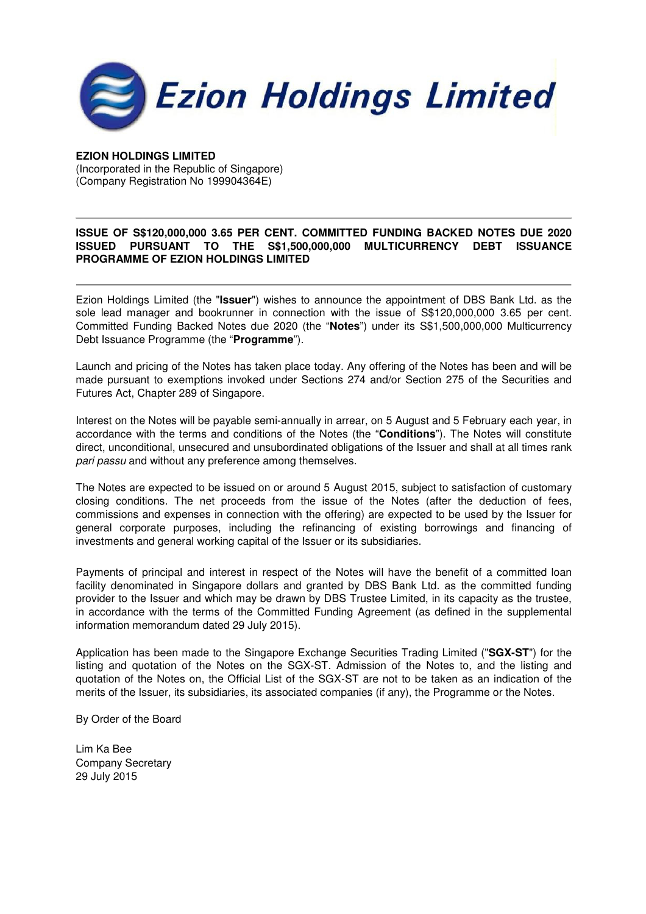

## **EZION HOLDINGS LIMITED**

(Incorporated in the Republic of Singapore) (Company Registration No 199904364E)

## **ISSUE OF S\$120,000,000 3.65 PER CENT. COMMITTED FUNDING BACKED NOTES DUE 2020 ISSUED PURSUANT TO THE S\$1,500,000,000 MULTICURRENCY DEBT ISSUANCE PROGRAMME OF EZION HOLDINGS LIMITED**

Ezion Holdings Limited (the "**Issuer**") wishes to announce the appointment of DBS Bank Ltd. as the sole lead manager and bookrunner in connection with the issue of S\$120,000,000 3.65 per cent. Committed Funding Backed Notes due 2020 (the "**Notes**") under its S\$1,500,000,000 Multicurrency Debt Issuance Programme (the "**Programme**").

Launch and pricing of the Notes has taken place today. Any offering of the Notes has been and will be made pursuant to exemptions invoked under Sections 274 and/or Section 275 of the Securities and Futures Act, Chapter 289 of Singapore.

Interest on the Notes will be payable semi-annually in arrear, on 5 August and 5 February each year, in accordance with the terms and conditions of the Notes (the "**Conditions**"). The Notes will constitute direct, unconditional, unsecured and unsubordinated obligations of the Issuer and shall at all times rank pari passu and without any preference among themselves.

The Notes are expected to be issued on or around 5 August 2015, subject to satisfaction of customary closing conditions. The net proceeds from the issue of the Notes (after the deduction of fees, commissions and expenses in connection with the offering) are expected to be used by the Issuer for general corporate purposes, including the refinancing of existing borrowings and financing of investments and general working capital of the Issuer or its subsidiaries.

Payments of principal and interest in respect of the Notes will have the benefit of a committed loan facility denominated in Singapore dollars and granted by DBS Bank Ltd. as the committed funding provider to the Issuer and which may be drawn by DBS Trustee Limited, in its capacity as the trustee, in accordance with the terms of the Committed Funding Agreement (as defined in the supplemental information memorandum dated 29 July 2015).

Application has been made to the Singapore Exchange Securities Trading Limited ("**SGX-ST**") for the listing and quotation of the Notes on the SGX-ST. Admission of the Notes to, and the listing and quotation of the Notes on, the Official List of the SGX-ST are not to be taken as an indication of the merits of the Issuer, its subsidiaries, its associated companies (if any), the Programme or the Notes.

By Order of the Board

Lim Ka Bee Company Secretary 29 July 2015